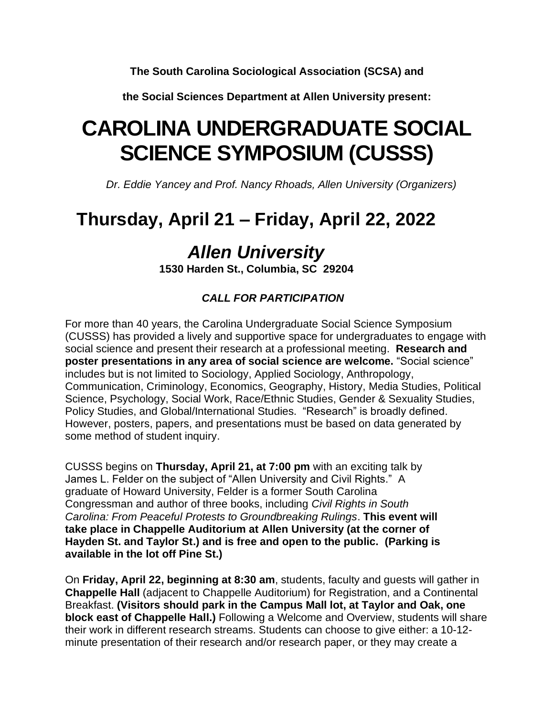**The South Carolina Sociological Association (SCSA) and**

**the Social Sciences Department at Allen University present:**

# **CAROLINA UNDERGRADUATE SOCIAL SCIENCE SYMPOSIUM (CUSSS)**

 *Dr. Eddie Yancey and Prof. Nancy Rhoads, Allen University (Organizers)*

## **Thursday, April 21 – Friday, April 22, 2022**

### *Allen University*

**1530 Harden St., Columbia, SC 29204**

### *CALL FOR PARTICIPATION*

For more than 40 years, the Carolina Undergraduate Social Science Symposium (CUSSS) has provided a lively and supportive space for undergraduates to engage with social science and present their research at a professional meeting. **Research and poster presentations in any area of social science are welcome.** "Social science" includes but is not limited to Sociology, Applied Sociology, Anthropology, Communication, Criminology, Economics, Geography, History, Media Studies, Political Science, Psychology, Social Work, Race/Ethnic Studies, Gender & Sexuality Studies, Policy Studies, and Global/International Studies. "Research" is broadly defined. However, posters, papers, and presentations must be based on data generated by some method of student inquiry.

CUSSS begins on **Thursday, April 21, at 7:00 pm** with an exciting talk by James L. Felder on the subject of "Allen University and Civil Rights." A graduate of Howard University, Felder is a former South Carolina Congressman and author of three books, including *Civil Rights in South Carolina: From Peaceful Protests to Groundbreaking Rulings*. **This event will take place in Chappelle Auditorium at Allen University (at the corner of Hayden St. and Taylor St.) and is free and open to the public. (Parking is available in the lot off Pine St.)**

On **Friday, April 22, beginning at 8:30 am**, students, faculty and guests will gather in **Chappelle Hall** (adjacent to Chappelle Auditorium) for Registration, and a Continental Breakfast. **(Visitors should park in the Campus Mall lot, at Taylor and Oak, one block east of Chappelle Hall.)** Following a Welcome and Overview, students will share their work in different research streams. Students can choose to give either: a 10-12 minute presentation of their research and/or research paper, or they may create a